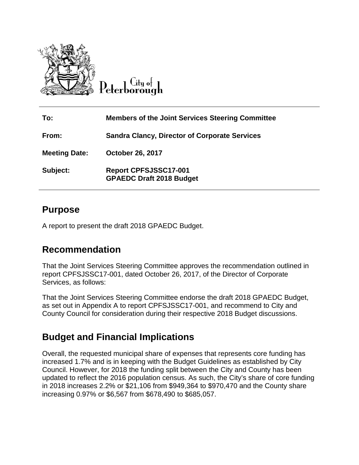

City of

| To:                  | <b>Members of the Joint Services Steering Committee</b>  |
|----------------------|----------------------------------------------------------|
| From:                | <b>Sandra Clancy, Director of Corporate Services</b>     |
| <b>Meeting Date:</b> | <b>October 26, 2017</b>                                  |
| Subject:             | Report CPFSJSSC17-001<br><b>GPAEDC Draft 2018 Budget</b> |

### **Purpose**

A report to present the draft 2018 GPAEDC Budget.

# **Recommendation**

That the Joint Services Steering Committee approves the recommendation outlined in report CPFSJSSC17-001, dated October 26, 2017, of the Director of Corporate Services, as follows:

That the Joint Services Steering Committee endorse the draft 2018 GPAEDC Budget, as set out in Appendix A to report CPFSJSSC17-001, and recommend to City and County Council for consideration during their respective 2018 Budget discussions.

# **Budget and Financial Implications**

Overall, the requested municipal share of expenses that represents core funding has increased 1.7% and is in keeping with the Budget Guidelines as established by City Council. However, for 2018 the funding split between the City and County has been updated to reflect the 2016 population census. As such, the City's share of core funding in 2018 increases 2.2% or \$21,106 from \$949,364 to \$970,470 and the County share increasing 0.97% or \$6,567 from \$678,490 to \$685,057.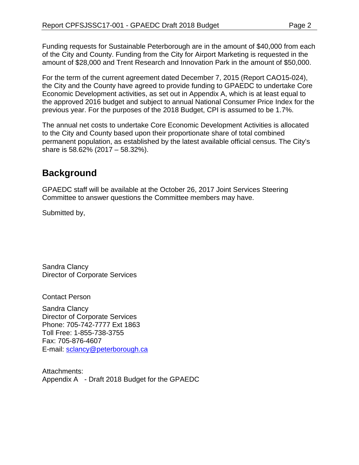Funding requests for Sustainable Peterborough are in the amount of \$40,000 from each of the City and County. Funding from the City for Airport Marketing is requested in the amount of \$28,000 and Trent Research and Innovation Park in the amount of \$50,000.

For the term of the current agreement dated December 7, 2015 (Report CAO15-024), the City and the County have agreed to provide funding to GPAEDC to undertake Core Economic Development activities, as set out in Appendix A, which is at least equal to the approved 2016 budget and subject to annual National Consumer Price Index for the previous year. For the purposes of the 2018 Budget, CPI is assumed to be 1.7%.

The annual net costs to undertake Core Economic Development Activities is allocated to the City and County based upon their proportionate share of total combined permanent population, as established by the latest available official census. The City's share is 58.62% (2017 – 58.32%).

# **Background**

GPAEDC staff will be available at the October 26, 2017 Joint Services Steering Committee to answer questions the Committee members may have.

Submitted by,

Sandra Clancy Director of Corporate Services

Contact Person

Sandra Clancy Director of Corporate Services Phone: 705-742-7777 Ext 1863 Toll Free: 1-855-738-3755 Fax: 705-876-4607 E-mail: [sclancy@peterborough.ca](mailto:sclancy@peterborough.ca)

Attachments: Appendix A - Draft 2018 Budget for the GPAEDC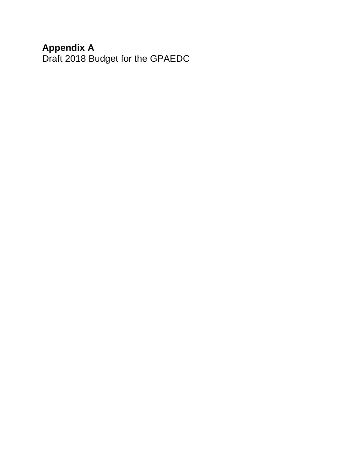#### **Appendix A**

Draft 2018 Budget for the GPAEDC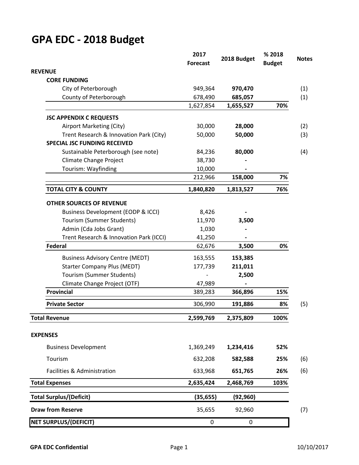# **GPA EDC - 2018 Budget**

|                                               | 2017<br><b>Forecast</b> | 2018 Budget | %2018<br><b>Budget</b> |
|-----------------------------------------------|-------------------------|-------------|------------------------|
| <b>REVENUE</b>                                |                         |             |                        |
| <b>CORE FUNDING</b>                           |                         |             |                        |
| City of Peterborough                          | 949,364                 | 970,470     |                        |
| County of Peterborough                        | 678,490                 | 685,057     |                        |
|                                               | 1,627,854               | 1,655,527   | 70%                    |
| <b>JSC APPENDIX C REQUESTS</b>                |                         |             |                        |
| Airport Marketing (City)                      | 30,000                  | 28,000      |                        |
| Trent Research & Innovation Park (City)       | 50,000                  | 50,000      |                        |
| <b>SPECIAL JSC FUNDING RECEIVED</b>           |                         |             |                        |
| Sustainable Peterborough (see note)           | 84,236                  | 80,000      |                        |
| <b>Climate Change Project</b>                 | 38,730                  |             |                        |
| Tourism: Wayfinding                           | 10,000                  |             |                        |
|                                               | 212,966                 | 158,000     | 7%                     |
| <b>TOTAL CITY &amp; COUNTY</b>                | 1,840,820               | 1,813,527   | 76%                    |
| <b>OTHER SOURCES OF REVENUE</b>               |                         |             |                        |
| <b>Business Development (EODP &amp; ICCI)</b> | 8,426                   |             |                        |
| Tourism (Summer Students)                     | 11,970                  | 3,500       |                        |
| Admin (Cda Jobs Grant)                        | 1,030                   |             |                        |
| Trent Research & Innovation Park (ICCI)       | 41,250                  |             |                        |
| <b>Federal</b>                                | 62,676                  | 3,500       | 0%                     |
| <b>Business Advisory Centre (MEDT)</b>        | 163,555                 | 153,385     |                        |
| <b>Starter Company Plus (MEDT)</b>            | 177,739                 | 211,011     |                        |
| Tourism (Summer Students)                     |                         | 2,500       |                        |
| Climate Change Project (OTF)                  | 47,989                  |             |                        |
| <b>Provincial</b>                             | 389,283                 | 366,896     | 15%                    |
| <b>Private Sector</b>                         | 306,990                 | 191,886     | 8%                     |
| <b>Total Revenue</b>                          | 2,599,769               | 2,375,809   | 100%                   |
| <b>EXPENSES</b>                               |                         |             |                        |
| <b>Business Development</b>                   | 1,369,249               | 1,234,416   | 52%                    |
| Tourism                                       | 632,208                 | 582,588     | 25%                    |
|                                               |                         |             |                        |
| Facilities & Administration                   | 633,968                 | 651,765     | 26%                    |
| <b>Total Expenses</b>                         | 2,635,424               | 2,468,769   | 103%                   |
| <b>Total Surplus/(Deficit)</b>                | (35, 655)               | (92, 960)   |                        |
| <b>Draw from Reserve</b>                      | 35,655                  | 92,960      |                        |
| <b>NET SURPLUS/(DEFICIT)</b>                  | $\boldsymbol{0}$        | 0           |                        |